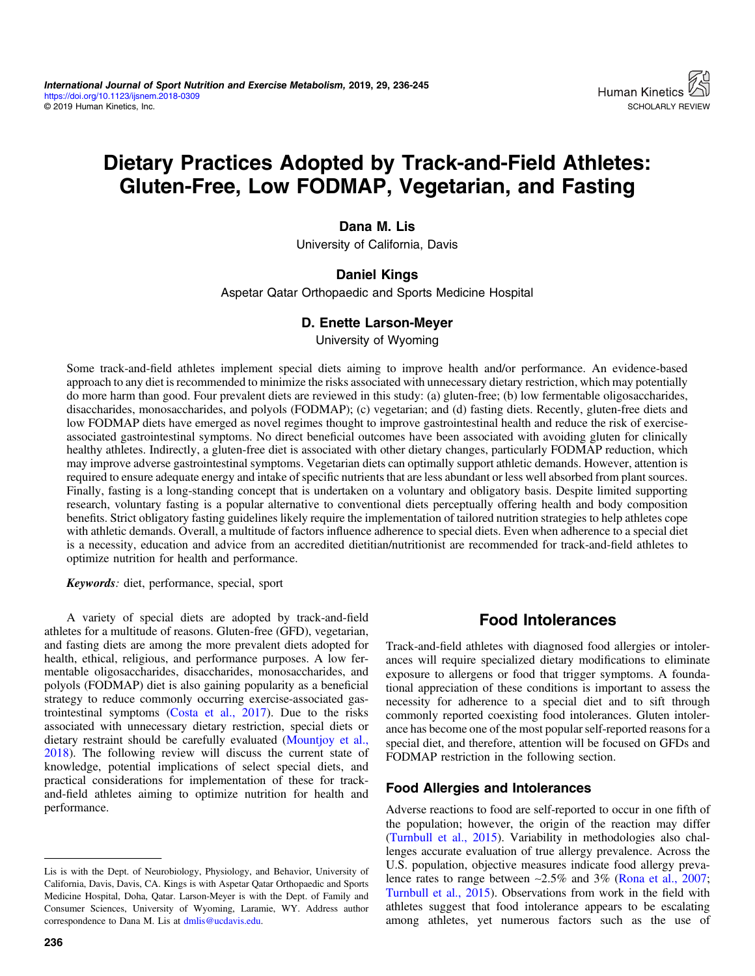# Dietary Practices Adopted by Track-and-Field Athletes: Gluten-Free, Low FODMAP, Vegetarian, and Fasting

## Dana M. Lis

University of California, Davis

## Daniel Kings

Aspetar Qatar Orthopaedic and Sports Medicine Hospital

## D. Enette Larson-Meyer

University of Wyoming

Some track-and-field athletes implement special diets aiming to improve health and/or performance. An evidence-based approach to any diet is recommended to minimize the risks associated with unnecessary dietary restriction, which may potentially do more harm than good. Four prevalent diets are reviewed in this study: (a) gluten-free; (b) low fermentable oligosaccharides, disaccharides, monosaccharides, and polyols (FODMAP); (c) vegetarian; and (d) fasting diets. Recently, gluten-free diets and low FODMAP diets have emerged as novel regimes thought to improve gastrointestinal health and reduce the risk of exerciseassociated gastrointestinal symptoms. No direct beneficial outcomes have been associated with avoiding gluten for clinically healthy athletes. Indirectly, a gluten-free diet is associated with other dietary changes, particularly FODMAP reduction, which may improve adverse gastrointestinal symptoms. Vegetarian diets can optimally support athletic demands. However, attention is required to ensure adequate energy and intake of specific nutrients that are less abundant or less well absorbed from plant sources. Finally, fasting is a long-standing concept that is undertaken on a voluntary and obligatory basis. Despite limited supporting research, voluntary fasting is a popular alternative to conventional diets perceptually offering health and body composition benefits. Strict obligatory fasting guidelines likely require the implementation of tailored nutrition strategies to help athletes cope with athletic demands. Overall, a multitude of factors influence adherence to special diets. Even when adherence to a special diet is a necessity, education and advice from an accredited dietitian/nutritionist are recommended for track-and-field athletes to optimize nutrition for health and performance.

Keywords: diet, performance, special, sport

A variety of special diets are adopted by track-and-field athletes for a multitude of reasons. Gluten-free (GFD), vegetarian, and fasting diets are among the more prevalent diets adopted for health, ethical, religious, and performance purposes. A low fermentable oligosaccharides, disaccharides, monosaccharides, and polyols (FODMAP) diet is also gaining popularity as a beneficial strategy to reduce commonly occurring exercise-associated gastrointestinal symptoms [\(Costa et al., 2017](#page-7-0)). Due to the risks associated with unnecessary dietary restriction, special diets or dietary restraint should be carefully evaluated [\(Mountjoy et al.,](#page-8-0) [2018](#page-8-0)). The following review will discuss the current state of knowledge, potential implications of select special diets, and practical considerations for implementation of these for trackand-field athletes aiming to optimize nutrition for health and performance.

236

# Food Intolerances

Track-and-field athletes with diagnosed food allergies or intolerances will require specialized dietary modifications to eliminate exposure to allergens or food that trigger symptoms. A foundational appreciation of these conditions is important to assess the necessity for adherence to a special diet and to sift through commonly reported coexisting food intolerances. Gluten intolerance has become one of the most popular self-reported reasons for a special diet, and therefore, attention will be focused on GFDs and FODMAP restriction in the following section.

## Food Allergies and Intolerances

Adverse reactions to food are self-reported to occur in one fifth of the population; however, the origin of the reaction may differ [\(Turnbull et al., 2015](#page-9-0)). Variability in methodologies also challenges accurate evaluation of true allergy prevalence. Across the U.S. population, objective measures indicate food allergy prevalence rates to range between ∼2.5% and 3% ([Rona et al., 2007](#page-8-0); [Turnbull et al., 2015\)](#page-9-0). Observations from work in the field with athletes suggest that food intolerance appears to be escalating among athletes, yet numerous factors such as the use of

Lis is with the Dept. of Neurobiology, Physiology, and Behavior, University of California, Davis, Davis, CA. Kings is with Aspetar Qatar Orthopaedic and Sports Medicine Hospital, Doha, Qatar. Larson-Meyer is with the Dept. of Family and Consumer Sciences, University of Wyoming, Laramie, WY. Address author correspondence to Dana M. Lis at [dmlis@ucdavis.edu.](mailto:dmlis@ucdavis.edu)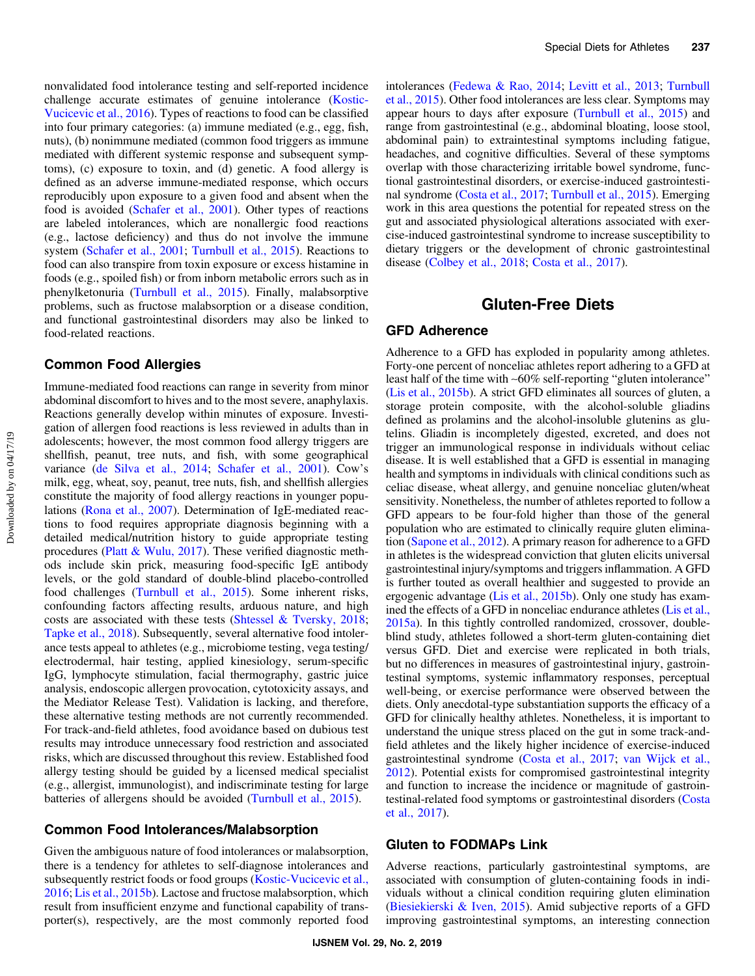nonvalidated food intolerance testing and self-reported incidence challenge accurate estimates of genuine intolerance ([Kostic-](#page-7-0)[Vucicevic et al., 2016\)](#page-7-0). Types of reactions to food can be classified into four primary categories: (a) immune mediated (e.g., egg, fish, nuts), (b) nonimmune mediated (common food triggers as immune mediated with different systemic response and subsequent symptoms), (c) exposure to toxin, and (d) genetic. A food allergy is defined as an adverse immune-mediated response, which occurs reproducibly upon exposure to a given food and absent when the food is avoided ([Schafer et al., 2001](#page-9-0)). Other types of reactions are labeled intolerances, which are nonallergic food reactions (e.g., lactose deficiency) and thus do not involve the immune system [\(Schafer et al., 2001;](#page-9-0) [Turnbull et al., 2015\)](#page-9-0). Reactions to food can also transpire from toxin exposure or excess histamine in foods (e.g., spoiled fish) or from inborn metabolic errors such as in phenylketonuria ([Turnbull et al., 2015\)](#page-9-0). Finally, malabsorptive problems, such as fructose malabsorption or a disease condition, and functional gastrointestinal disorders may also be linked to food-related reactions.

#### Common Food Allergies

Immune-mediated food reactions can range in severity from minor abdominal discomfort to hives and to the most severe, anaphylaxis. Reactions generally develop within minutes of exposure. Investigation of allergen food reactions is less reviewed in adults than in adolescents; however, the most common food allergy triggers are shellfish, peanut, tree nuts, and fish, with some geographical variance [\(de Silva et al., 2014](#page-7-0); [Schafer et al., 2001\)](#page-9-0). Cow's milk, egg, wheat, soy, peanut, tree nuts, fish, and shellfish allergies constitute the majority of food allergy reactions in younger populations [\(Rona et al., 2007](#page-8-0)). Determination of IgE-mediated reactions to food requires appropriate diagnosis beginning with a detailed medical/nutrition history to guide appropriate testing procedures [\(Platt & Wulu, 2017](#page-8-0)). These verified diagnostic methods include skin prick, measuring food-specific IgE antibody levels, or the gold standard of double-blind placebo-controlled food challenges [\(Turnbull et al., 2015\)](#page-9-0). Some inherent risks, confounding factors affecting results, arduous nature, and high costs are associated with these tests ([Shtessel & Tversky, 2018](#page-9-0); [Tapke et al., 2018\)](#page-9-0). Subsequently, several alternative food intolerance tests appeal to athletes (e.g., microbiome testing, vega testing/ electrodermal, hair testing, applied kinesiology, serum-specific IgG, lymphocyte stimulation, facial thermography, gastric juice analysis, endoscopic allergen provocation, cytotoxicity assays, and the Mediator Release Test). Validation is lacking, and therefore, these alternative testing methods are not currently recommended. For track-and-field athletes, food avoidance based on dubious test results may introduce unnecessary food restriction and associated risks, which are discussed throughout this review. Established food allergy testing should be guided by a licensed medical specialist (e.g., allergist, immunologist), and indiscriminate testing for large batteries of allergens should be avoided ([Turnbull et al., 2015\)](#page-9-0).

## Common Food Intolerances/Malabsorption

Given the ambiguous nature of food intolerances or malabsorption, there is a tendency for athletes to self-diagnose intolerances and subsequently restrict foods or food groups [\(Kostic-Vucicevic et al.,](#page-7-0) [2016](#page-7-0); [Lis et al., 2015b](#page-8-0)). Lactose and fructose malabsorption, which result from insufficient enzyme and functional capability of transporter(s), respectively, are the most commonly reported food intolerances ([Fedewa & Rao, 2014](#page-7-0); [Levitt et al., 2013](#page-7-0); [Turnbull](#page-9-0) [et al., 2015](#page-9-0)). Other food intolerances are less clear. Symptoms may appear hours to days after exposure [\(Turnbull et al., 2015](#page-9-0)) and range from gastrointestinal (e.g., abdominal bloating, loose stool, abdominal pain) to extraintestinal symptoms including fatigue, headaches, and cognitive difficulties. Several of these symptoms overlap with those characterizing irritable bowel syndrome, functional gastrointestinal disorders, or exercise-induced gastrointestinal syndrome ([Costa et al., 2017;](#page-7-0) [Turnbull et al., 2015\)](#page-9-0). Emerging work in this area questions the potential for repeated stress on the gut and associated physiological alterations associated with exercise-induced gastrointestinal syndrome to increase susceptibility to dietary triggers or the development of chronic gastrointestinal disease [\(Colbey et al., 2018;](#page-7-0) [Costa et al., 2017\)](#page-7-0).

# Gluten-Free Diets

#### GFD Adherence

Adherence to a GFD has exploded in popularity among athletes. Forty-one percent of nonceliac athletes report adhering to a GFD at least half of the time with ∼60% self-reporting "gluten intolerance" [\(Lis et al., 2015b\)](#page-8-0). A strict GFD eliminates all sources of gluten, a storage protein composite, with the alcohol-soluble gliadins defined as prolamins and the alcohol-insoluble glutenins as glutelins. Gliadin is incompletely digested, excreted, and does not trigger an immunological response in individuals without celiac disease. It is well established that a GFD is essential in managing health and symptoms in individuals with clinical conditions such as celiac disease, wheat allergy, and genuine nonceliac gluten/wheat sensitivity. Nonetheless, the number of athletes reported to follow a GFD appears to be four-fold higher than those of the general population who are estimated to clinically require gluten elimination ([Sapone et al., 2012\)](#page-9-0). A primary reason for adherence to a GFD in athletes is the widespread conviction that gluten elicits universal gastrointestinal injury/symptoms and triggers inflammation. A GFD is further touted as overall healthier and suggested to provide an ergogenic advantage [\(Lis et al., 2015b](#page-8-0)). Only one study has examined the effects of a GFD in nonceliac endurance athletes [\(Lis et al.,](#page-8-0) [2015a](#page-8-0)). In this tightly controlled randomized, crossover, doubleblind study, athletes followed a short-term gluten-containing diet versus GFD. Diet and exercise were replicated in both trials, but no differences in measures of gastrointestinal injury, gastrointestinal symptoms, systemic inflammatory responses, perceptual well-being, or exercise performance were observed between the diets. Only anecdotal-type substantiation supports the efficacy of a GFD for clinically healthy athletes. Nonetheless, it is important to understand the unique stress placed on the gut in some track-andfield athletes and the likely higher incidence of exercise-induced gastrointestinal syndrome [\(Costa et al., 2017;](#page-7-0) [van Wijck et al.,](#page-9-0) [2012](#page-9-0)). Potential exists for compromised gastrointestinal integrity and function to increase the incidence or magnitude of gastrointestinal-related food symptoms or gastrointestinal disorders [\(Costa](#page-7-0) [et al., 2017\)](#page-7-0).

#### Gluten to FODMAPs Link

Adverse reactions, particularly gastrointestinal symptoms, are associated with consumption of gluten-containing foods in individuals without a clinical condition requiring gluten elimination [\(Biesiekierski & Iven, 2015](#page-7-0)). Amid subjective reports of a GFD improving gastrointestinal symptoms, an interesting connection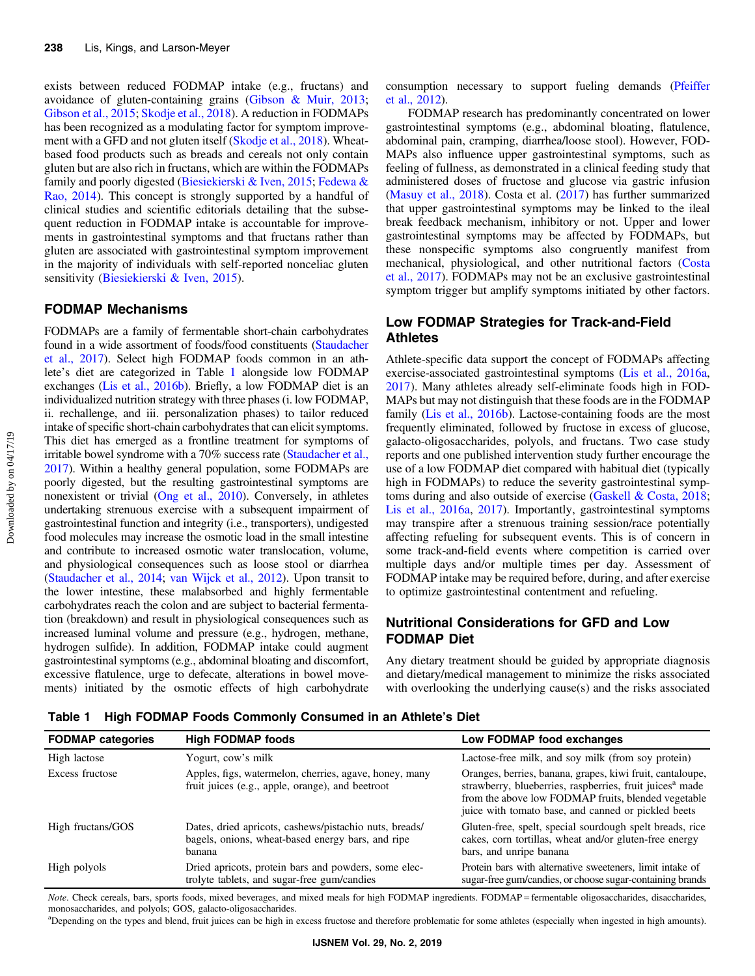exists between reduced FODMAP intake (e.g., fructans) and avoidance of gluten-containing grains [\(Gibson & Muir, 2013](#page-7-0); [Gibson et al., 2015;](#page-7-0) [Skodje et al., 2018\)](#page-9-0). A reduction in FODMAPs has been recognized as a modulating factor for symptom improvement with a GFD and not gluten itself [\(Skodje et al., 2018](#page-9-0)). Wheatbased food products such as breads and cereals not only contain gluten but are also rich in fructans, which are within the FODMAPs family and poorly digested [\(Biesiekierski & Iven, 2015](#page-7-0); [Fedewa &](#page-7-0) [Rao, 2014](#page-7-0)). This concept is strongly supported by a handful of clinical studies and scientific editorials detailing that the subsequent reduction in FODMAP intake is accountable for improvements in gastrointestinal symptoms and that fructans rather than gluten are associated with gastrointestinal symptom improvement in the majority of individuals with self-reported nonceliac gluten sensitivity [\(Biesiekierski & Iven, 2015\)](#page-7-0).

## FODMAP Mechanisms

FODMAPs are a family of fermentable short-chain carbohydrates found in a wide assortment of foods/food constituents [\(Staudacher](#page-9-0) [et al., 2017](#page-9-0)). Select high FODMAP foods common in an athlete's diet are categorized in Table 1 alongside low FODMAP exchanges [\(Lis et al., 2016b](#page-8-0)). Briefly, a low FODMAP diet is an individualized nutrition strategy with three phases (i. low FODMAP, ii. rechallenge, and iii. personalization phases) to tailor reduced intake of specific short-chain carbohydrates that can elicit symptoms. This diet has emerged as a frontline treatment for symptoms of irritable bowel syndrome with a 70% success rate ([Staudacher et al.,](#page-9-0) [2017\)](#page-9-0). Within a healthy general population, some FODMAPs are poorly digested, but the resulting gastrointestinal symptoms are nonexistent or trivial [\(Ong et al., 2010](#page-8-0)). Conversely, in athletes undertaking strenuous exercise with a subsequent impairment of gastrointestinal function and integrity (i.e., transporters), undigested food molecules may increase the osmotic load in the small intestine and contribute to increased osmotic water translocation, volume, and physiological consequences such as loose stool or diarrhea [\(Staudacher et al., 2014;](#page-9-0) [van Wijck et al., 2012\)](#page-9-0). Upon transit to the lower intestine, these malabsorbed and highly fermentable carbohydrates reach the colon and are subject to bacterial fermentation (breakdown) and result in physiological consequences such as increased luminal volume and pressure (e.g., hydrogen, methane, hydrogen sulfide). In addition, FODMAP intake could augment gastrointestinal symptoms (e.g., abdominal bloating and discomfort, excessive flatulence, urge to defecate, alterations in bowel movements) initiated by the osmotic effects of high carbohydrate consumption necessary to support fueling demands ([Pfeiffer](#page-8-0) [et al., 2012\)](#page-8-0).

FODMAP research has predominantly concentrated on lower gastrointestinal symptoms (e.g., abdominal bloating, flatulence, abdominal pain, cramping, diarrhea/loose stool). However, FOD-MAPs also influence upper gastrointestinal symptoms, such as feeling of fullness, as demonstrated in a clinical feeding study that administered doses of fructose and glucose via gastric infusion [\(Masuy et al., 2018\)](#page-8-0). Costa et al. [\(2017](#page-7-0)) has further summarized that upper gastrointestinal symptoms may be linked to the ileal break feedback mechanism, inhibitory or not. Upper and lower gastrointestinal symptoms may be affected by FODMAPs, but these nonspecific symptoms also congruently manifest from mechanical, physiological, and other nutritional factors [\(Costa](#page-7-0) [et al., 2017](#page-7-0)). FODMAPs may not be an exclusive gastrointestinal symptom trigger but amplify symptoms initiated by other factors.

## Low FODMAP Strategies for Track-and-Field Athletes

Athlete-specific data support the concept of FODMAPs affecting exercise-associated gastrointestinal symptoms [\(Lis et al., 2016a,](#page-8-0) [2017](#page-8-0)). Many athletes already self-eliminate foods high in FOD-MAPs but may not distinguish that these foods are in the FODMAP family [\(Lis et al., 2016b](#page-8-0)). Lactose-containing foods are the most frequently eliminated, followed by fructose in excess of glucose, galacto-oligosaccharides, polyols, and fructans. Two case study reports and one published intervention study further encourage the use of a low FODMAP diet compared with habitual diet (typically high in FODMAPs) to reduce the severity gastrointestinal symptoms during and also outside of exercise [\(Gaskell & Costa, 2018](#page-7-0); [Lis et al., 2016a](#page-8-0), [2017\)](#page-8-0). Importantly, gastrointestinal symptoms may transpire after a strenuous training session/race potentially affecting refueling for subsequent events. This is of concern in some track-and-field events where competition is carried over multiple days and/or multiple times per day. Assessment of FODMAP intake may be required before, during, and after exercise to optimize gastrointestinal contentment and refueling.

## Nutritional Considerations for GFD and Low FODMAP Diet

Any dietary treatment should be guided by appropriate diagnosis and dietary/medical management to minimize the risks associated with overlooking the underlying cause(s) and the risks associated

| <b>FODMAP categories</b> | <b>High FODMAP foods</b>                                                                                              | Low FODMAP food exchanges                                                                                                                                                                                                                       |
|--------------------------|-----------------------------------------------------------------------------------------------------------------------|-------------------------------------------------------------------------------------------------------------------------------------------------------------------------------------------------------------------------------------------------|
| High lactose             | Yogurt, cow's milk                                                                                                    | Lactose-free milk, and soy milk (from soy protein)                                                                                                                                                                                              |
| Excess fructose          | Apples, figs, watermelon, cherries, agave, honey, many<br>fruit juices (e.g., apple, orange), and beetroot            | Oranges, berries, banana, grapes, kiwi fruit, cantaloupe,<br>strawberry, blueberries, raspberries, fruit juices <sup>a</sup> made<br>from the above low FODMAP fruits, blended vegetable<br>juice with tomato base, and canned or pickled beets |
| High fructans/GOS        | Dates, dried apricots, cashews/pistachio nuts, breads/<br>bagels, onions, wheat-based energy bars, and ripe<br>banana | Gluten-free, spelt, special sourdough spelt breads, rice<br>cakes, corn tortillas, wheat and/or gluten-free energy<br>bars, and unripe banana                                                                                                   |
| High polyols             | Dried apricots, protein bars and powders, some elec-<br>trolyte tablets, and sugar-free gum/candies                   | Protein bars with alternative sweeteners, limit intake of<br>sugar-free gum/candies, or choose sugar-containing brands                                                                                                                          |

Table 1 High FODMAP Foods Commonly Consumed in an Athlete's Diet

Note. Check cereals, bars, sports foods, mixed beverages, and mixed meals for high FODMAP ingredients. FODMAP = fermentable oligosaccharides, disaccharides, monosaccharides, and polyols; GOS, galacto-oligosaccharides.

<sup>a</sup>Depending on the types and blend, fruit juices can be high in excess fructose and therefore problematic for some athletes (especially when ingested in high amounts).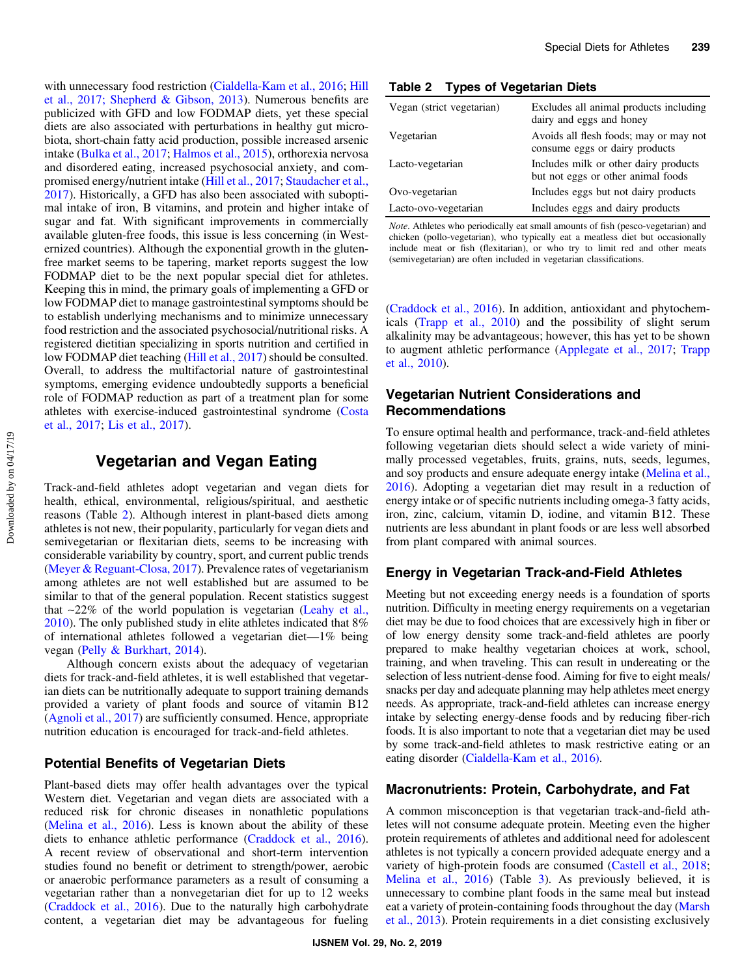with unnecessary food restriction ([Cialdella-Kam et al., 2016](#page-7-0); [Hill](#page-7-0) [et al., 2017;](#page-7-0) [Shepherd & Gibson, 2013\)](#page-9-0). Numerous benefits are publicized with GFD and low FODMAP diets, yet these special diets are also associated with perturbations in healthy gut microbiota, short-chain fatty acid production, possible increased arsenic intake ([Bulka et al., 2017](#page-7-0); [Halmos et al., 2015](#page-7-0)), orthorexia nervosa and disordered eating, increased psychosocial anxiety, and compromised energy/nutrient intake ([Hill et al., 2017](#page-7-0); [Staudacher et al.,](#page-9-0) [2017](#page-9-0)). Historically, a GFD has also been associated with suboptimal intake of iron, B vitamins, and protein and higher intake of sugar and fat. With significant improvements in commercially available gluten-free foods, this issue is less concerning (in Westernized countries). Although the exponential growth in the glutenfree market seems to be tapering, market reports suggest the low FODMAP diet to be the next popular special diet for athletes. Keeping this in mind, the primary goals of implementing a GFD or low FODMAP diet to manage gastrointestinal symptoms should be to establish underlying mechanisms and to minimize unnecessary food restriction and the associated psychosocial/nutritional risks. A registered dietitian specializing in sports nutrition and certified in low FODMAP diet teaching [\(Hill et al., 2017](#page-7-0)) should be consulted. Overall, to address the multifactorial nature of gastrointestinal symptoms, emerging evidence undoubtedly supports a beneficial role of FODMAP reduction as part of a treatment plan for some athletes with exercise-induced gastrointestinal syndrome [\(Costa](#page-7-0) [et al., 2017;](#page-7-0) [Lis et al., 2017\)](#page-8-0).

# Vegetarian and Vegan Eating

Track-and-field athletes adopt vegetarian and vegan diets for health, ethical, environmental, religious/spiritual, and aesthetic reasons (Table 2). Although interest in plant-based diets among athletes is not new, their popularity, particularly for vegan diets and semivegetarian or flexitarian diets, seems to be increasing with considerable variability by country, sport, and current public trends [\(Meyer & Reguant-Closa, 2017](#page-8-0)). Prevalence rates of vegetarianism among athletes are not well established but are assumed to be similar to that of the general population. Recent statistics suggest that ∼22% of the world population is vegetarian [\(Leahy et al.,](#page-7-0) [2010](#page-7-0)). The only published study in elite athletes indicated that 8% of international athletes followed a vegetarian diet—1% being vegan [\(Pelly & Burkhart, 2014](#page-8-0)).

Although concern exists about the adequacy of vegetarian diets for track-and-field athletes, it is well established that vegetarian diets can be nutritionally adequate to support training demands provided a variety of plant foods and source of vitamin B12 [\(Agnoli et al., 2017\)](#page-6-0) are sufficiently consumed. Hence, appropriate nutrition education is encouraged for track-and-field athletes.

## Potential Benefits of Vegetarian Diets

Plant-based diets may offer health advantages over the typical Western diet. Vegetarian and vegan diets are associated with a reduced risk for chronic diseases in nonathletic populations [\(Melina et al., 2016](#page-8-0)). Less is known about the ability of these diets to enhance athletic performance [\(Craddock et al., 2016](#page-7-0)). A recent review of observational and short-term intervention studies found no benefit or detriment to strength/power, aerobic or anaerobic performance parameters as a result of consuming a vegetarian rather than a nonvegetarian diet for up to 12 weeks [\(Craddock et al., 2016\)](#page-7-0). Due to the naturally high carbohydrate content, a vegetarian diet may be advantageous for fueling

#### Table 2 Types of Vegetarian Diets

| Vegan (strict vegetarian) | Excludes all animal products including<br>dairy and eggs and honey          |
|---------------------------|-----------------------------------------------------------------------------|
| Vegetarian                | Avoids all flesh foods; may or may not<br>consume eggs or dairy products    |
| Lacto-vegetarian          | Includes milk or other dairy products<br>but not eggs or other animal foods |
| Ovo-vegetarian            | Includes eggs but not dairy products                                        |
| Lacto-ovo-vegetarian      | Includes eggs and dairy products                                            |
|                           |                                                                             |

Note. Athletes who periodically eat small amounts of fish (pesco-vegetarian) and chicken (pollo-vegetarian), who typically eat a meatless diet but occasionally include meat or fish (flexitarian), or who try to limit red and other meats (semivegetarian) are often included in vegetarian classifications.

[\(Craddock et al., 2016](#page-7-0)). In addition, antioxidant and phytochemicals ([Trapp et al., 2010\)](#page-9-0) and the possibility of slight serum alkalinity may be advantageous; however, this has yet to be shown to augment athletic performance [\(Applegate et al., 2017;](#page-7-0) [Trapp](#page-9-0) [et al., 2010\)](#page-9-0).

## Vegetarian Nutrient Considerations and Recommendations

To ensure optimal health and performance, track-and-field athletes following vegetarian diets should select a wide variety of minimally processed vegetables, fruits, grains, nuts, seeds, legumes, and soy products and ensure adequate energy intake [\(Melina et al.,](#page-8-0) [2016](#page-8-0)). Adopting a vegetarian diet may result in a reduction of energy intake or of specific nutrients including omega-3 fatty acids, iron, zinc, calcium, vitamin D, iodine, and vitamin B12. These nutrients are less abundant in plant foods or are less well absorbed from plant compared with animal sources.

## Energy in Vegetarian Track-and-Field Athletes

Meeting but not exceeding energy needs is a foundation of sports nutrition. Difficulty in meeting energy requirements on a vegetarian diet may be due to food choices that are excessively high in fiber or of low energy density some track-and-field athletes are poorly prepared to make healthy vegetarian choices at work, school, training, and when traveling. This can result in undereating or the selection of less nutrient-dense food. Aiming for five to eight meals/ snacks per day and adequate planning may help athletes meet energy needs. As appropriate, track-and-field athletes can increase energy intake by selecting energy-dense foods and by reducing fiber-rich foods. It is also important to note that a vegetarian diet may be used by some track-and-field athletes to mask restrictive eating or an eating disorder [\(Cialdella-Kam et al., 2016\)](#page-7-0).

#### Macronutrients: Protein, Carbohydrate, and Fat

A common misconception is that vegetarian track-and-field athletes will not consume adequate protein. Meeting even the higher protein requirements of athletes and additional need for adolescent athletes is not typically a concern provided adequate energy and a variety of high-protein foods are consumed [\(Castell et al., 2018](#page-7-0); [Melina et al., 2016\)](#page-8-0) (Table [3\)](#page-4-0). As previously believed, it is unnecessary to combine plant foods in the same meal but instead eat a variety of protein-containing foods throughout the day ([Marsh](#page-8-0) [et al., 2013\)](#page-8-0). Protein requirements in a diet consisting exclusively

Downloaded by on 04/17/19 Downloaded by on 04/17/19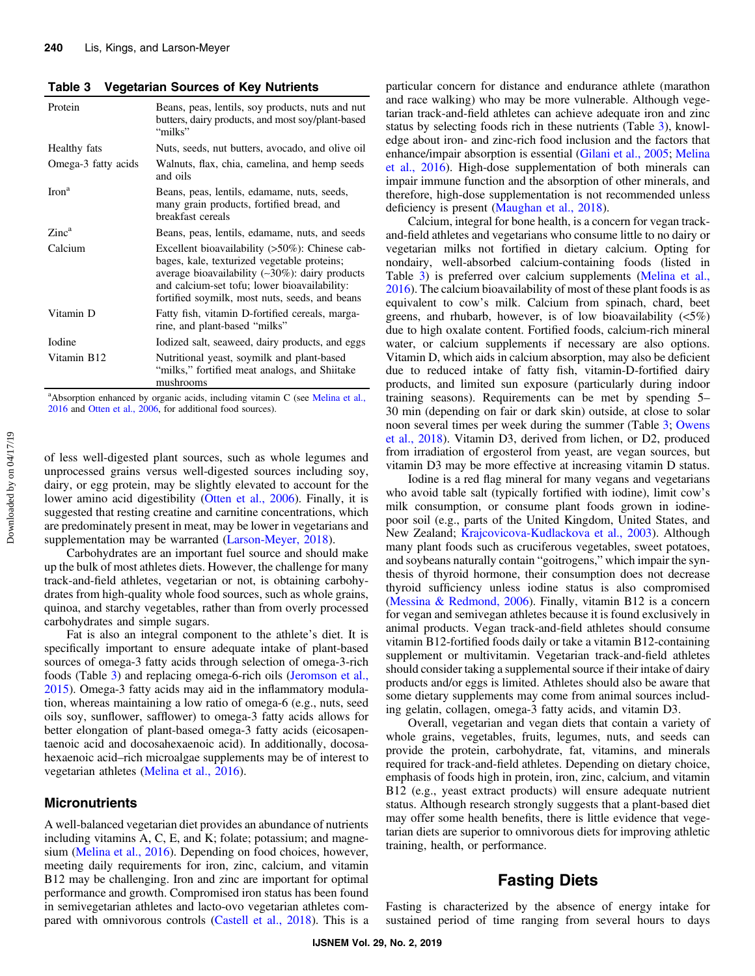<span id="page-4-0"></span>Table 3 Vegetarian Sources of Key Nutrients

| Protein                  | Beans, peas, lentils, soy products, nuts and nut<br>butters, dairy products, and most soy/plant-based<br>"milks"                                                                                                                                          |
|--------------------------|-----------------------------------------------------------------------------------------------------------------------------------------------------------------------------------------------------------------------------------------------------------|
| Healthy fats             | Nuts, seeds, nut butters, avocado, and olive oil                                                                                                                                                                                                          |
| Omega-3 fatty acids      | Walnuts, flax, chia, camelina, and hemp seeds<br>and oils                                                                                                                                                                                                 |
| $\text{Iron}^{\text{a}}$ | Beans, peas, lentils, edamame, nuts, seeds,<br>many grain products, fortified bread, and<br>breakfast cereals                                                                                                                                             |
| Zinc <sup>a</sup>        | Beans, peas, lentils, edamame, nuts, and seeds                                                                                                                                                                                                            |
| Calcium                  | Excellent bioavailability $(>50\%)$ : Chinese cab-<br>bages, kale, texturized vegetable proteins;<br>average bioavailability $(-30\%)$ : dairy products<br>and calcium-set tofu; lower bioavailability:<br>fortified soymilk, most nuts, seeds, and beans |
| Vitamin D                | Fatty fish, vitamin D-fortified cereals, marga-<br>rine, and plant-based "milks"                                                                                                                                                                          |
| <b>I</b> odine           | Iodized salt, seaweed, dairy products, and eggs                                                                                                                                                                                                           |
| Vitamin B <sub>12</sub>  | Nutritional yeast, soymilk and plant-based<br>"milks," fortified meat analogs, and Shiitake<br>mushrooms                                                                                                                                                  |

<sup>a</sup> Absorption enhanced by organic acids, including vitamin C (see [Melina et al.,](#page-8-0) [2016](#page-8-0) and [Otten et al., 2006](#page-8-0), for additional food sources).

of less well-digested plant sources, such as whole legumes and unprocessed grains versus well-digested sources including soy, dairy, or egg protein, may be slightly elevated to account for the lower amino acid digestibility ([Otten et al., 2006\)](#page-8-0). Finally, it is suggested that resting creatine and carnitine concentrations, which are predominately present in meat, may be lower in vegetarians and supplementation may be warranted [\(Larson-Meyer, 2018](#page-7-0)).

Carbohydrates are an important fuel source and should make up the bulk of most athletes diets. However, the challenge for many track-and-field athletes, vegetarian or not, is obtaining carbohydrates from high-quality whole food sources, such as whole grains, quinoa, and starchy vegetables, rather than from overly processed carbohydrates and simple sugars.

Fat is also an integral component to the athlete's diet. It is specifically important to ensure adequate intake of plant-based sources of omega-3 fatty acids through selection of omega-3-rich foods (Table 3) and replacing omega-6-rich oils ([Jeromson et al.,](#page-7-0) [2015](#page-7-0)). Omega-3 fatty acids may aid in the inflammatory modulation, whereas maintaining a low ratio of omega-6 (e.g., nuts, seed oils soy, sunflower, safflower) to omega-3 fatty acids allows for better elongation of plant-based omega-3 fatty acids (eicosapentaenoic acid and docosahexaenoic acid). In additionally, docosahexaenoic acid–rich microalgae supplements may be of interest to vegetarian athletes [\(Melina et al., 2016](#page-8-0)).

#### Micronutrients

A well-balanced vegetarian diet provides an abundance of nutrients including vitamins A, C, E, and K; folate; potassium; and magnesium [\(Melina et al., 2016\)](#page-8-0). Depending on food choices, however, meeting daily requirements for iron, zinc, calcium, and vitamin B12 may be challenging. Iron and zinc are important for optimal performance and growth. Compromised iron status has been found in semivegetarian athletes and lacto-ovo vegetarian athletes compared with omnivorous controls [\(Castell et al., 2018\)](#page-7-0). This is a particular concern for distance and endurance athlete (marathon and race walking) who may be more vulnerable. Although vegetarian track-and-field athletes can achieve adequate iron and zinc status by selecting foods rich in these nutrients (Table 3), knowledge about iron- and zinc-rich food inclusion and the factors that enhance/impair absorption is essential [\(Gilani et al., 2005;](#page-7-0) [Melina](#page-8-0) [et al., 2016\)](#page-8-0). High-dose supplementation of both minerals can impair immune function and the absorption of other minerals, and therefore, high-dose supplementation is not recommended unless deficiency is present [\(Maughan et al., 2018\)](#page-8-0).

Calcium, integral for bone health, is a concern for vegan trackand-field athletes and vegetarians who consume little to no dairy or vegetarian milks not fortified in dietary calcium. Opting for nondairy, well-absorbed calcium-containing foods (listed in Table 3) is preferred over calcium supplements ([Melina et al.,](#page-8-0) [2016](#page-8-0)). The calcium bioavailability of most of these plant foods is as equivalent to cow's milk. Calcium from spinach, chard, beet greens, and rhubarb, however, is of low bioavailability  $(5\%)$ due to high oxalate content. Fortified foods, calcium-rich mineral water, or calcium supplements if necessary are also options. Vitamin D, which aids in calcium absorption, may also be deficient due to reduced intake of fatty fish, vitamin-D-fortified dairy products, and limited sun exposure (particularly during indoor training seasons). Requirements can be met by spending 5– 30 min (depending on fair or dark skin) outside, at close to solar noon several times per week during the summer (Table 3; [Owens](#page-8-0) [et al., 2018](#page-8-0)). Vitamin D3, derived from lichen, or D2, produced from irradiation of ergosterol from yeast, are vegan sources, but vitamin D3 may be more effective at increasing vitamin D status.

Iodine is a red flag mineral for many vegans and vegetarians who avoid table salt (typically fortified with iodine), limit cow's milk consumption, or consume plant foods grown in iodinepoor soil (e.g., parts of the United Kingdom, United States, and New Zealand; [Krajcovicova-Kudlackova et al., 2003\)](#page-7-0). Although many plant foods such as cruciferous vegetables, sweet potatoes, and soybeans naturally contain "goitrogens," which impair the synthesis of thyroid hormone, their consumption does not decrease thyroid sufficiency unless iodine status is also compromised [\(Messina & Redmond, 2006](#page-8-0)). Finally, vitamin B12 is a concern for vegan and semivegan athletes because it is found exclusively in animal products. Vegan track-and-field athletes should consume vitamin B12-fortified foods daily or take a vitamin B12-containing supplement or multivitamin. Vegetarian track-and-field athletes should consider taking a supplemental source if their intake of dairy products and/or eggs is limited. Athletes should also be aware that some dietary supplements may come from animal sources including gelatin, collagen, omega-3 fatty acids, and vitamin D3.

Overall, vegetarian and vegan diets that contain a variety of whole grains, vegetables, fruits, legumes, nuts, and seeds can provide the protein, carbohydrate, fat, vitamins, and minerals required for track-and-field athletes. Depending on dietary choice, emphasis of foods high in protein, iron, zinc, calcium, and vitamin B12 (e.g., yeast extract products) will ensure adequate nutrient status. Although research strongly suggests that a plant-based diet may offer some health benefits, there is little evidence that vegetarian diets are superior to omnivorous diets for improving athletic training, health, or performance.

# Fasting Diets

Fasting is characterized by the absence of energy intake for sustained period of time ranging from several hours to days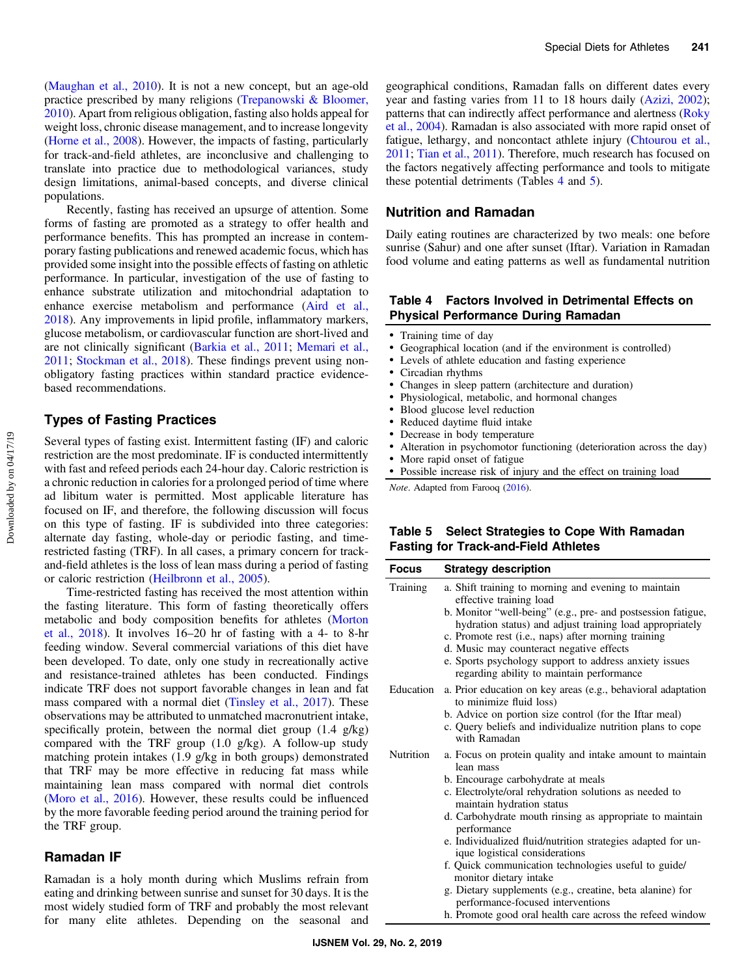<span id="page-5-0"></span>[\(Maughan et al., 2010\)](#page-8-0). It is not a new concept, but an age-old practice prescribed by many religions [\(Trepanowski & Bloomer,](#page-9-0) [2010](#page-9-0)). Apart from religious obligation, fasting also holds appeal for weight loss, chronic disease management, and to increase longevity [\(Horne et al., 2008\)](#page-7-0). However, the impacts of fasting, particularly for track-and-field athletes, are inconclusive and challenging to translate into practice due to methodological variances, study design limitations, animal-based concepts, and diverse clinical populations.

Recently, fasting has received an upsurge of attention. Some forms of fasting are promoted as a strategy to offer health and performance benefits. This has prompted an increase in contemporary fasting publications and renewed academic focus, which has provided some insight into the possible effects of fasting on athletic performance. In particular, investigation of the use of fasting to enhance substrate utilization and mitochondrial adaptation to enhance exercise metabolism and performance [\(Aird et al.,](#page-6-0) [2018](#page-6-0)). Any improvements in lipid profile, inflammatory markers, glucose metabolism, or cardiovascular function are short-lived and are not clinically significant [\(Barkia et al., 2011](#page-7-0); [Memari et al.,](#page-8-0) [2011](#page-8-0); [Stockman et al., 2018](#page-9-0)). These findings prevent using nonobligatory fasting practices within standard practice evidencebased recommendations.

## Types of Fasting Practices

Several types of fasting exist. Intermittent fasting (IF) and caloric restriction are the most predominate. IF is conducted intermittently with fast and refeed periods each 24-hour day. Caloric restriction is a chronic reduction in calories for a prolonged period of time where ad libitum water is permitted. Most applicable literature has focused on IF, and therefore, the following discussion will focus on this type of fasting. IF is subdivided into three categories: alternate day fasting, whole-day or periodic fasting, and timerestricted fasting (TRF). In all cases, a primary concern for trackand-field athletes is the loss of lean mass during a period of fasting or caloric restriction [\(Heilbronn et al., 2005](#page-7-0)).

Time-restricted fasting has received the most attention within the fasting literature. This form of fasting theoretically offers metabolic and body composition benefits for athletes [\(Morton](#page-8-0) [et al., 2018\)](#page-8-0). It involves 16–20 hr of fasting with a 4- to 8-hr feeding window. Several commercial variations of this diet have been developed. To date, only one study in recreationally active and resistance-trained athletes has been conducted. Findings indicate TRF does not support favorable changes in lean and fat mass compared with a normal diet ([Tinsley et al., 2017\)](#page-9-0). These observations may be attributed to unmatched macronutrient intake, specifically protein, between the normal diet group (1.4 g/kg) compared with the TRF group (1.0 g/kg). A follow-up study matching protein intakes (1.9 g/kg in both groups) demonstrated that TRF may be more effective in reducing fat mass while maintaining lean mass compared with normal diet controls [\(Moro et al., 2016](#page-8-0)). However, these results could be influenced by the more favorable feeding period around the training period for the TRF group.

#### Ramadan IF

Ramadan is a holy month during which Muslims refrain from eating and drinking between sunrise and sunset for 30 days. It is the most widely studied form of TRF and probably the most relevant for many elite athletes. Depending on the seasonal and geographical conditions, Ramadan falls on different dates every year and fasting varies from 11 to 18 hours daily ([Azizi, 2002](#page-7-0)); patterns that can indirectly affect performance and alertness [\(Roky](#page-8-0) [et al., 2004\)](#page-8-0). Ramadan is also associated with more rapid onset of fatigue, lethargy, and noncontact athlete injury ([Chtourou et al.,](#page-7-0) [2011](#page-7-0); [Tian et al., 2011\)](#page-9-0). Therefore, much research has focused on the factors negatively affecting performance and tools to mitigate these potential detriments (Tables 4 and 5).

#### Nutrition and Ramadan

Daily eating routines are characterized by two meals: one before sunrise (Sahur) and one after sunset (Iftar). Variation in Ramadan food volume and eating patterns as well as fundamental nutrition

#### Table 4 Factors Involved in Detrimental Effects on Physical Performance During Ramadan

- Training time of day
- Geographical location (and if the environment is controlled)
- Levels of athlete education and fasting experience
- Circadian rhythms
- Changes in sleep pattern (architecture and duration)
- Physiological, metabolic, and hormonal changes
- Blood glucose level reduction
- Reduced daytime fluid intake
- Decrease in body temperature
- Alteration in psychomotor functioning (deterioration across the day)
- More rapid onset of fatigue
- Possible increase risk of injury and the effect on training load

Note. Adapted from Farooq ([2016\)](#page-7-0).

#### Table 5 Select Strategies to Cope With Ramadan Fasting for Track-and-Field Athletes

| <b>Focus</b>     | <b>Strategy description</b>                                                                                                                                                                                                                                                                                                                                                                                                                                                                                                    |
|------------------|--------------------------------------------------------------------------------------------------------------------------------------------------------------------------------------------------------------------------------------------------------------------------------------------------------------------------------------------------------------------------------------------------------------------------------------------------------------------------------------------------------------------------------|
| Training         | a. Shift training to morning and evening to maintain<br>effective training load<br>b. Monitor "well-being" (e.g., pre- and postsession fatigue,<br>hydration status) and adjust training load appropriately<br>c. Promote rest (i.e., naps) after morning training<br>d. Music may counteract negative effects<br>e. Sports psychology support to address anxiety issues<br>regarding ability to maintain performance                                                                                                          |
| Education        | a. Prior education on key areas (e.g., behavioral adaptation<br>to minimize fluid loss)<br>b. Advice on portion size control (for the Iftar meal)<br>c. Query beliefs and individualize nutrition plans to cope<br>with Ramadan                                                                                                                                                                                                                                                                                                |
| <b>Nutrition</b> | a. Focus on protein quality and intake amount to maintain<br>lean mass<br>b. Encourage carbohydrate at meals<br>c. Electrolyte/oral rehydration solutions as needed to<br>maintain hydration status<br>d. Carbohydrate mouth rinsing as appropriate to maintain<br>performance<br>e. Individualized fluid/nutrition strategies adapted for un-<br>ique logistical considerations<br>f. Quick communication technologies useful to guide/<br>monitor dietary intake<br>o Distanz supplements (e.g., questing, bota slaning) for |

- g. Dietary supplements (e.g., creatine, beta alanine) for performance-focused interventions
- h. Promote good oral health care across the refeed window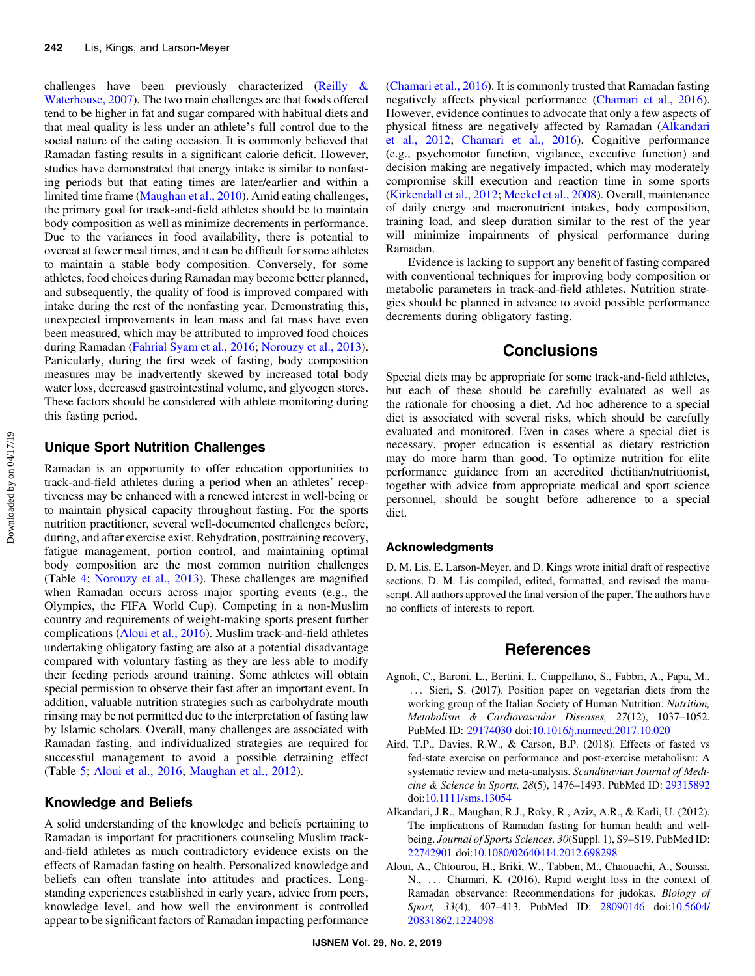<span id="page-6-0"></span>challenges have been previously characterized [\(Reilly &](#page-8-0) [Waterhouse, 2007\)](#page-8-0). The two main challenges are that foods offered tend to be higher in fat and sugar compared with habitual diets and that meal quality is less under an athlete's full control due to the social nature of the eating occasion. It is commonly believed that Ramadan fasting results in a significant calorie deficit. However, studies have demonstrated that energy intake is similar to nonfasting periods but that eating times are later/earlier and within a limited time frame [\(Maughan et al., 2010](#page-8-0)). Amid eating challenges, the primary goal for track-and-field athletes should be to maintain body composition as well as minimize decrements in performance. Due to the variances in food availability, there is potential to overeat at fewer meal times, and it can be difficult for some athletes to maintain a stable body composition. Conversely, for some athletes, food choices during Ramadan may become better planned, and subsequently, the quality of food is improved compared with intake during the rest of the nonfasting year. Demonstrating this, unexpected improvements in lean mass and fat mass have even been measured, which may be attributed to improved food choices during Ramadan ([Fahrial Syam et al., 2016;](#page-7-0) [Norouzy et al., 2013](#page-8-0)). Particularly, during the first week of fasting, body composition measures may be inadvertently skewed by increased total body water loss, decreased gastrointestinal volume, and glycogen stores. These factors should be considered with athlete monitoring during this fasting period.

## Unique Sport Nutrition Challenges

Ramadan is an opportunity to offer education opportunities to track-and-field athletes during a period when an athletes' receptiveness may be enhanced with a renewed interest in well-being or to maintain physical capacity throughout fasting. For the sports nutrition practitioner, several well-documented challenges before, during, and after exercise exist. Rehydration, posttraining recovery, fatigue management, portion control, and maintaining optimal body composition are the most common nutrition challenges (Table [4](#page-5-0); [Norouzy et al., 2013\)](#page-8-0). These challenges are magnified when Ramadan occurs across major sporting events (e.g., the Olympics, the FIFA World Cup). Competing in a non-Muslim country and requirements of weight-making sports present further complications (Aloui et al., 2016). Muslim track-and-field athletes undertaking obligatory fasting are also at a potential disadvantage compared with voluntary fasting as they are less able to modify their feeding periods around training. Some athletes will obtain special permission to observe their fast after an important event. In addition, valuable nutrition strategies such as carbohydrate mouth rinsing may be not permitted due to the interpretation of fasting law by Islamic scholars. Overall, many challenges are associated with Ramadan fasting, and individualized strategies are required for successful management to avoid a possible detraining effect (Table [5](#page-5-0); Aloui et al., 2016; [Maughan et al., 2012\)](#page-8-0).

## Knowledge and Beliefs

A solid understanding of the knowledge and beliefs pertaining to Ramadan is important for practitioners counseling Muslim trackand-field athletes as much contradictory evidence exists on the effects of Ramadan fasting on health. Personalized knowledge and beliefs can often translate into attitudes and practices. Longstanding experiences established in early years, advice from peers, knowledge level, and how well the environment is controlled appear to be significant factors of Ramadan impacting performance [\(Chamari et al., 2016](#page-7-0)). It is commonly trusted that Ramadan fasting negatively affects physical performance ([Chamari et al., 2016](#page-7-0)). However, evidence continues to advocate that only a few aspects of physical fitness are negatively affected by Ramadan (Alkandari et al., 2012; [Chamari et al., 2016\)](#page-7-0). Cognitive performance (e.g., psychomotor function, vigilance, executive function) and decision making are negatively impacted, which may moderately compromise skill execution and reaction time in some sports [\(Kirkendall et al., 2012;](#page-7-0) [Meckel et al., 2008\)](#page-8-0). Overall, maintenance of daily energy and macronutrient intakes, body composition, training load, and sleep duration similar to the rest of the year will minimize impairments of physical performance during Ramadan.

Evidence is lacking to support any benefit of fasting compared with conventional techniques for improving body composition or metabolic parameters in track-and-field athletes. Nutrition strategies should be planned in advance to avoid possible performance decrements during obligatory fasting.

## **Conclusions**

Special diets may be appropriate for some track-and-field athletes, but each of these should be carefully evaluated as well as the rationale for choosing a diet. Ad hoc adherence to a special diet is associated with several risks, which should be carefully evaluated and monitored. Even in cases where a special diet is necessary, proper education is essential as dietary restriction may do more harm than good. To optimize nutrition for elite performance guidance from an accredited dietitian/nutritionist, together with advice from appropriate medical and sport science personnel, should be sought before adherence to a special diet.

#### Acknowledgments

D. M. Lis, E. Larson-Meyer, and D. Kings wrote initial draft of respective sections. D. M. Lis compiled, edited, formatted, and revised the manuscript. All authors approved the final version of the paper. The authors have no conflicts of interests to report.

#### **References**

- Agnoli, C., Baroni, L., Bertini, I., Ciappellano, S., Fabbri, A., Papa, M., ::: Sieri, S. (2017). Position paper on vegetarian diets from the working group of the Italian Society of Human Nutrition. Nutrition, Metabolism & Cardiovascular Diseases, 27(12), 1037–1052. PubMed ID: [29174030](http://www.ncbi.nlm.nih.gov/pubmed/29174030?dopt=Abstract) doi:[10.1016/j.numecd.2017.10.020](https://doi.org/10.1016/j.numecd.2017.10.020)
- Aird, T.P., Davies, R.W., & Carson, B.P. (2018). Effects of fasted vs fed-state exercise on performance and post-exercise metabolism: A systematic review and meta-analysis. Scandinavian Journal of Medicine & Science in Sports, 28(5), 1476–1493. PubMed ID: [29315892](http://www.ncbi.nlm.nih.gov/pubmed/29315892?dopt=Abstract) doi:[10.1111/sms.13054](https://doi.org/10.1111/sms.13054)
- Alkandari, J.R., Maughan, R.J., Roky, R., Aziz, A.R., & Karli, U. (2012). The implications of Ramadan fasting for human health and wellbeing. Journal of Sports Sciences, 30(Suppl. 1), S9-S19. PubMed ID: [22742901](http://www.ncbi.nlm.nih.gov/pubmed/22742901?dopt=Abstract) doi:[10.1080/02640414.2012.698298](https://doi.org/10.1080/02640414.2012.698298)
- Aloui, A., Chtourou, H., Briki, W., Tabben, M., Chaouachi, A., Souissi, N., ::: Chamari, K. (2016). Rapid weight loss in the context of Ramadan observance: Recommendations for judokas. Biology of Sport, 33(4), 407–413. PubMed ID: [28090146](http://www.ncbi.nlm.nih.gov/pubmed/28090146?dopt=Abstract) doi[:10.5604/](https://doi.org/10.5604/20831862.1224098) [20831862.1224098](https://doi.org/10.5604/20831862.1224098)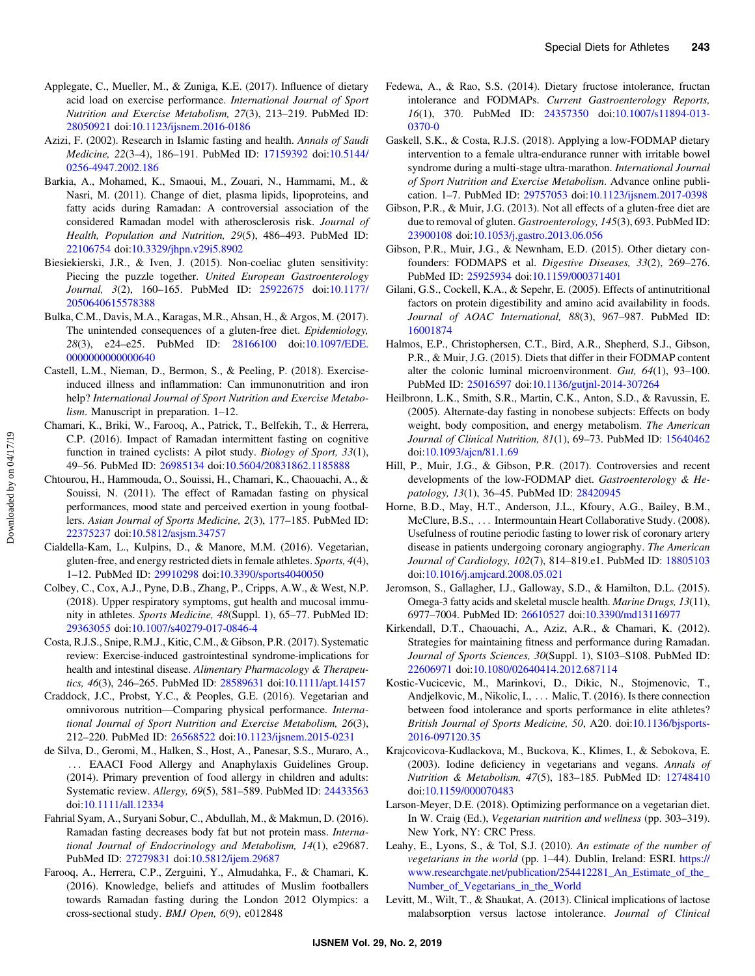- <span id="page-7-0"></span>Applegate, C., Mueller, M., & Zuniga, K.E. (2017). Influence of dietary acid load on exercise performance. International Journal of Sport Nutrition and Exercise Metabolism, 27(3), 213–219. PubMed ID: [28050921](http://www.ncbi.nlm.nih.gov/pubmed/28050921?dopt=Abstract) doi:[10.1123/ijsnem.2016-0186](https://doi.org/10.1123/ijsnem.2016-0186)
- Azizi, F. (2002). Research in Islamic fasting and health. Annals of Saudi Medicine, 22(3–4), 186–191. PubMed ID: [17159392](http://www.ncbi.nlm.nih.gov/pubmed/17159392?dopt=Abstract) doi[:10.5144/](https://doi.org/10.5144/0256-4947.2002.186) [0256-4947.2002.186](https://doi.org/10.5144/0256-4947.2002.186)
- Barkia, A., Mohamed, K., Smaoui, M., Zouari, N., Hammami, M., & Nasri, M. (2011). Change of diet, plasma lipids, lipoproteins, and fatty acids during Ramadan: A controversial association of the considered Ramadan model with atherosclerosis risk. Journal of Health, Population and Nutrition, 29(5), 486–493. PubMed ID: [22106754](http://www.ncbi.nlm.nih.gov/pubmed/22106754?dopt=Abstract) doi:[10.3329/jhpn.v29i5.8902](https://doi.org/10.3329/jhpn.v29i5.8902)
- Biesiekierski, J.R., & Iven, J. (2015). Non-coeliac gluten sensitivity: Piecing the puzzle together. United European Gastroenterology Journal, 3(2), 160–165. PubMed ID: [25922675](http://www.ncbi.nlm.nih.gov/pubmed/25922675?dopt=Abstract) doi[:10.1177/](https://doi.org/10.1177/2050640615578388) [2050640615578388](https://doi.org/10.1177/2050640615578388)
- Bulka, C.M., Davis, M.A., Karagas, M.R., Ahsan, H., & Argos, M. (2017). The unintended consequences of a gluten-free diet. Epidemiology, 28(3), e24–e25. PubMed ID: [28166100](http://www.ncbi.nlm.nih.gov/pubmed/28166100?dopt=Abstract) doi:[10.1097/EDE.](https://doi.org/10.1097/EDE.0000000000000640) [0000000000000640](https://doi.org/10.1097/EDE.0000000000000640)
- Castell, L.M., Nieman, D., Bermon, S., & Peeling, P. (2018). Exerciseinduced illness and inflammation: Can immunonutrition and iron help? International Journal of Sport Nutrition and Exercise Metabolism. Manuscript in preparation. 1-12.
- Chamari, K., Briki, W., Farooq, A., Patrick, T., Belfekih, T., & Herrera, C.P. (2016). Impact of Ramadan intermittent fasting on cognitive function in trained cyclists: A pilot study. Biology of Sport, 33(1), 49–56. PubMed ID: [26985134](http://www.ncbi.nlm.nih.gov/pubmed/26985134?dopt=Abstract) doi[:10.5604/20831862.1185888](https://doi.org/10.5604/20831862.1185888)
- Chtourou, H., Hammouda, O., Souissi, H., Chamari, K., Chaouachi, A., & Souissi, N. (2011). The effect of Ramadan fasting on physical performances, mood state and perceived exertion in young footballers. Asian Journal of Sports Medicine, 2(3), 177–185. PubMed ID: [22375237](http://www.ncbi.nlm.nih.gov/pubmed/22375237?dopt=Abstract) doi:[10.5812/asjsm.34757](https://doi.org/10.5812/asjsm.34757)
- Cialdella-Kam, L., Kulpins, D., & Manore, M.M. (2016). Vegetarian, gluten-free, and energy restricted diets in female athletes. Sports, 4(4), 1–12. PubMed ID: [29910298](http://www.ncbi.nlm.nih.gov/pubmed/29910298?dopt=Abstract) doi[:10.3390/sports4040050](https://doi.org/10.3390/sports4040050)
- Colbey, C., Cox, A.J., Pyne, D.B., Zhang, P., Cripps, A.W., & West, N.P. (2018). Upper respiratory symptoms, gut health and mucosal immunity in athletes. Sports Medicine, 48(Suppl. 1), 65–77. PubMed ID: [29363055](http://www.ncbi.nlm.nih.gov/pubmed/29363055?dopt=Abstract) doi:[10.1007/s40279-017-0846-4](https://doi.org/10.1007/s40279-017-0846-4)
- Costa, R.J.S., Snipe, R.M.J., Kitic, C.M., & Gibson, P.R. (2017). Systematic review: Exercise-induced gastrointestinal syndrome-implications for health and intestinal disease. Alimentary Pharmacology & Therapeutics, 46(3), 246–265. PubMed ID: [28589631](http://www.ncbi.nlm.nih.gov/pubmed/28589631?dopt=Abstract) doi:[10.1111/apt.14157](https://doi.org/10.1111/apt.14157)
- Craddock, J.C., Probst, Y.C., & Peoples, G.E. (2016). Vegetarian and omnivorous nutrition—Comparing physical performance. International Journal of Sport Nutrition and Exercise Metabolism, 26(3), 212–220. PubMed ID: [26568522](http://www.ncbi.nlm.nih.gov/pubmed/26568522?dopt=Abstract) doi:[10.1123/ijsnem.2015-0231](https://doi.org/10.1123/ijsnem.2015-0231)
- de Silva, D., Geromi, M., Halken, S., Host, A., Panesar, S.S., Muraro, A., ::: EAACI Food Allergy and Anaphylaxis Guidelines Group. (2014). Primary prevention of food allergy in children and adults: Systematic review. Allergy, 69(5), 581–589. PubMed ID: [24433563](http://www.ncbi.nlm.nih.gov/pubmed/24433563?dopt=Abstract) doi:[10.1111/all.12334](https://doi.org/10.1111/all.12334)
- Fahrial Syam, A., Suryani Sobur, C., Abdullah, M., & Makmun, D. (2016). Ramadan fasting decreases body fat but not protein mass. International Journal of Endocrinology and Metabolism, 14(1), e29687. PubMed ID: [27279831](http://www.ncbi.nlm.nih.gov/pubmed/27279831?dopt=Abstract) doi:[10.5812/ijem.29687](https://doi.org/10.5812/ijem.29687)
- Farooq, A., Herrera, C.P., Zerguini, Y., Almudahka, F., & Chamari, K. (2016). Knowledge, beliefs and attitudes of Muslim footballers towards Ramadan fasting during the London 2012 Olympics: a cross-sectional study. BMJ Open, 6(9), e012848
- Fedewa, A., & Rao, S.S. (2014). Dietary fructose intolerance, fructan intolerance and FODMAPs. Current Gastroenterology Reports, 16(1), 370. PubMed ID: [24357350](http://www.ncbi.nlm.nih.gov/pubmed/24357350?dopt=Abstract) doi[:10.1007/s11894-013-](https://doi.org/10.1007/s11894-013-0370-0) [0370-0](https://doi.org/10.1007/s11894-013-0370-0)
- Gaskell, S.K., & Costa, R.J.S. (2018). Applying a low-FODMAP dietary intervention to a female ultra-endurance runner with irritable bowel syndrome during a multi-stage ultra-marathon. International Journal of Sport Nutrition and Exercise Metabolism. Advance online publication. 1–7. PubMed ID: [29757053](http://www.ncbi.nlm.nih.gov/pubmed/29757053?dopt=Abstract) doi[:10.1123/ijsnem.2017-0398](https://doi.org/10.1123/ijsnem.2017-0398)
- Gibson, P.R., & Muir, J.G. (2013). Not all effects of a gluten-free diet are due to removal of gluten. Gastroenterology, 145(3), 693. PubMed ID: [23900108](http://www.ncbi.nlm.nih.gov/pubmed/23900108?dopt=Abstract) doi:[10.1053/j.gastro.2013.06.056](https://doi.org/10.1053/j.gastro.2013.06.056)
- Gibson, P.R., Muir, J.G., & Newnham, E.D. (2015). Other dietary confounders: FODMAPS et al. Digestive Diseases, 33(2), 269–276. PubMed ID: [25925934](http://www.ncbi.nlm.nih.gov/pubmed/25925934?dopt=Abstract) doi:[10.1159/000371401](https://doi.org/10.1159/000371401)
- Gilani, G.S., Cockell, K.A., & Sepehr, E. (2005). Effects of antinutritional factors on protein digestibility and amino acid availability in foods. Journal of AOAC International, 88(3), 967–987. PubMed ID: [16001874](http://www.ncbi.nlm.nih.gov/pubmed/16001874?dopt=Abstract)
- Halmos, E.P., Christophersen, C.T., Bird, A.R., Shepherd, S.J., Gibson, P.R., & Muir, J.G. (2015). Diets that differ in their FODMAP content alter the colonic luminal microenvironment. Gut, 64(1), 93–100. PubMed ID: [25016597](http://www.ncbi.nlm.nih.gov/pubmed/25016597?dopt=Abstract) doi:[10.1136/gutjnl-2014-307264](https://doi.org/10.1136/gutjnl-2014-307264)
- Heilbronn, L.K., Smith, S.R., Martin, C.K., Anton, S.D., & Ravussin, E. (2005). Alternate-day fasting in nonobese subjects: Effects on body weight, body composition, and energy metabolism. The American Journal of Clinical Nutrition, 81(1), 69–73. PubMed ID: [15640462](http://www.ncbi.nlm.nih.gov/pubmed/15640462?dopt=Abstract) doi:[10.1093/ajcn/81.1.69](https://doi.org/10.1093/ajcn/81.1.69)
- Hill, P., Muir, J.G., & Gibson, P.R. (2017). Controversies and recent developments of the low-FODMAP diet. Gastroenterology & Hepatology, 13(1), 36–45. PubMed ID: [28420945](http://www.ncbi.nlm.nih.gov/pubmed/28420945?dopt=Abstract)
- Horne, B.D., May, H.T., Anderson, J.L., Kfoury, A.G., Bailey, B.M., McClure, B.S., ... Intermountain Heart Collaborative Study. (2008). Usefulness of routine periodic fasting to lower risk of coronary artery disease in patients undergoing coronary angiography. The American Journal of Cardiology, 102(7), 814–819.e1. PubMed ID: [18805103](http://www.ncbi.nlm.nih.gov/pubmed/18805103?dopt=Abstract) doi:[10.1016/j.amjcard.2008.05.021](https://doi.org/10.1016/j.amjcard.2008.05.021)
- Jeromson, S., Gallagher, I.J., Galloway, S.D., & Hamilton, D.L. (2015). Omega-3 fatty acids and skeletal muscle health. Marine Drugs, 13(11), 6977–7004. PubMed ID: [26610527](http://www.ncbi.nlm.nih.gov/pubmed/26610527?dopt=Abstract) doi:[10.3390/md13116977](https://doi.org/10.3390/md13116977)
- Kirkendall, D.T., Chaouachi, A., Aziz, A.R., & Chamari, K. (2012). Strategies for maintaining fitness and performance during Ramadan. Journal of Sports Sciences, 30(Suppl. 1), S103–S108. PubMed ID: [22606971](http://www.ncbi.nlm.nih.gov/pubmed/22606971?dopt=Abstract) doi:[10.1080/02640414.2012.687114](https://doi.org/10.1080/02640414.2012.687114)
- Kostic-Vucicevic, M., Marinkovi, D., Dikic, N., Stojmenovic, T., Andjelkovic, M., Nikolic, I., ... Malic, T. (2016). Is there connection between food intolerance and sports performance in elite athletes? British Journal of Sports Medicine, 50, A20. doi[:10.1136/bjsports-](https://doi.org/10.1136/bjsports-2016-09712035)[2016-097120.35](https://doi.org/10.1136/bjsports-2016-09712035)
- Krajcovicova-Kudlackova, M., Buckova, K., Klimes, I., & Sebokova, E. (2003). Iodine deficiency in vegetarians and vegans. Annals of Nutrition & Metabolism, 47(5), 183–185. PubMed ID: [12748410](http://www.ncbi.nlm.nih.gov/pubmed/12748410?dopt=Abstract) doi:[10.1159/000070483](https://doi.org/10.1159/000070483)
- Larson-Meyer, D.E. (2018). Optimizing performance on a vegetarian diet. In W. Craig (Ed.), Vegetarian nutrition and wellness (pp. 303–319). New York, NY: CRC Press.
- Leahy, E., Lyons, S., & Tol, S.J. (2010). An estimate of the number of vegetarians in the world (pp. 1–44). Dublin, Ireland: ESRI. [https://](https://www.researchgate.net/publication/254412281_An_Estimate_of_the_Number_of_Vegetarians_in_the_World) [www.researchgate.net/publication/254412281\\_An\\_Estimate\\_of\\_the\\_](https://www.researchgate.net/publication/254412281_An_Estimate_of_the_Number_of_Vegetarians_in_the_World) [Number\\_of\\_Vegetarians\\_in\\_the\\_World](https://www.researchgate.net/publication/254412281_An_Estimate_of_the_Number_of_Vegetarians_in_the_World)
- Levitt, M., Wilt, T., & Shaukat, A. (2013). Clinical implications of lactose malabsorption versus lactose intolerance. Journal of Clinical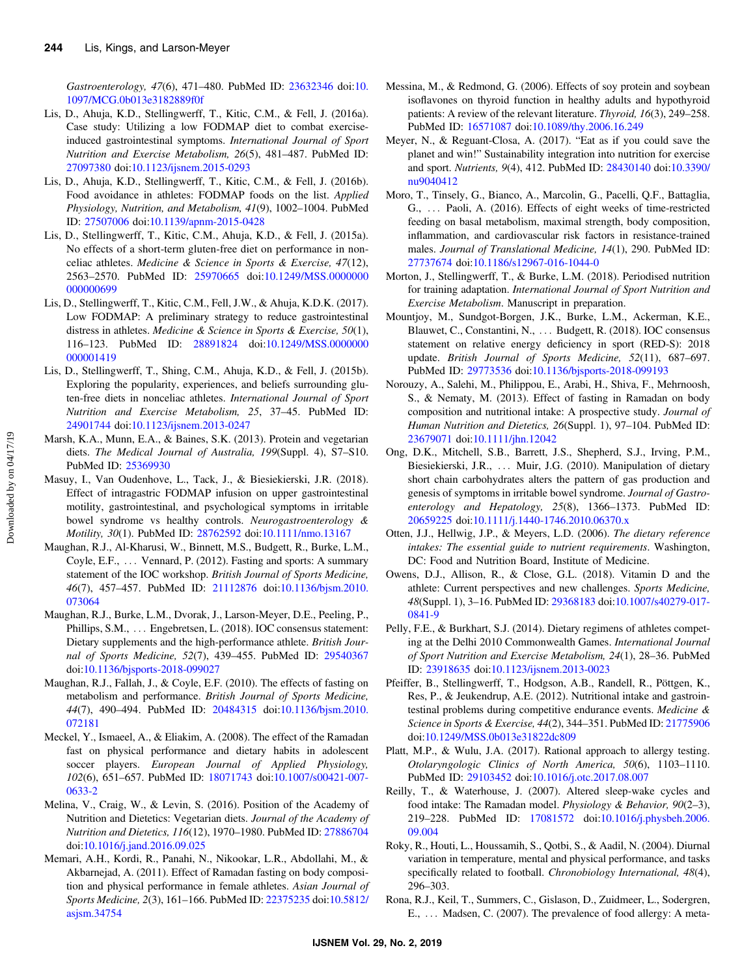<span id="page-8-0"></span>Gastroenterology, 47(6), 471–480. PubMed ID: [23632346](http://www.ncbi.nlm.nih.gov/pubmed/23632346?dopt=Abstract) doi:[10.](https://doi.org/10.1097/MCG.0b013e3182889f0f) [1097/MCG.0b013e3182889f0f](https://doi.org/10.1097/MCG.0b013e3182889f0f)

- Lis, D., Ahuja, K.D., Stellingwerff, T., Kitic, C.M., & Fell, J. (2016a). Case study: Utilizing a low FODMAP diet to combat exerciseinduced gastrointestinal symptoms. International Journal of Sport Nutrition and Exercise Metabolism, 26(5), 481–487. PubMed ID: [27097380](http://www.ncbi.nlm.nih.gov/pubmed/27097380?dopt=Abstract) doi:[10.1123/ijsnem.2015-0293](https://doi.org/10.1123/ijsnem.2015-0293)
- Lis, D., Ahuja, K.D., Stellingwerff, T., Kitic, C.M., & Fell, J. (2016b). Food avoidance in athletes: FODMAP foods on the list. Applied Physiology, Nutrition, and Metabolism, 41(9), 1002–1004. PubMed ID: [27507006](http://www.ncbi.nlm.nih.gov/pubmed/27507006?dopt=Abstract) doi[:10.1139/apnm-2015-0428](https://doi.org/10.1139/apnm-2015-0428)
- Lis, D., Stellingwerff, T., Kitic, C.M., Ahuja, K.D., & Fell, J. (2015a). No effects of a short-term gluten-free diet on performance in nonceliac athletes. Medicine & Science in Sports & Exercise, 47(12), 2563–2570. PubMed ID: [25970665](http://www.ncbi.nlm.nih.gov/pubmed/25970665?dopt=Abstract) doi[:10.1249/MSS.0000000](https://doi.org/10.1249/MSS.0000000000000699) [000000699](https://doi.org/10.1249/MSS.0000000000000699)
- Lis, D., Stellingwerff, T., Kitic, C.M., Fell, J.W., & Ahuja, K.D.K. (2017). Low FODMAP: A preliminary strategy to reduce gastrointestinal distress in athletes. Medicine & Science in Sports & Exercise, 50(1), 116–123. PubMed ID: [28891824](http://www.ncbi.nlm.nih.gov/pubmed/28891824?dopt=Abstract) doi:[10.1249/MSS.0000000](https://doi.org/10.1249/MSS.0000000000001419) [000001419](https://doi.org/10.1249/MSS.0000000000001419)
- Lis, D., Stellingwerff, T., Shing, C.M., Ahuja, K.D., & Fell, J. (2015b). Exploring the popularity, experiences, and beliefs surrounding gluten-free diets in nonceliac athletes. International Journal of Sport Nutrition and Exercise Metabolism, 25, 37–45. PubMed ID: [24901744](http://www.ncbi.nlm.nih.gov/pubmed/24901744?dopt=Abstract) doi:[10.1123/ijsnem.2013-0247](https://doi.org/10.1123/ijsnem.2013-0247)
- Marsh, K.A., Munn, E.A., & Baines, S.K. (2013). Protein and vegetarian diets. The Medical Journal of Australia, 199(Suppl. 4), S7–S10. PubMed ID: [25369930](http://www.ncbi.nlm.nih.gov/pubmed/25369930?dopt=Abstract)
- Masuy, I., Van Oudenhove, L., Tack, J., & Biesiekierski, J.R. (2018). Effect of intragastric FODMAP infusion on upper gastrointestinal motility, gastrointestinal, and psychological symptoms in irritable bowel syndrome vs healthy controls. Neurogastroenterology & Motility, 30(1). PubMed ID: [28762592](http://www.ncbi.nlm.nih.gov/pubmed/28762592?dopt=Abstract) doi:[10.1111/nmo.13167](https://doi.org/10.1111/nmo.13167)
- Maughan, R.J., Al-Kharusi, W., Binnett, M.S., Budgett, R., Burke, L.M., Coyle, E.F., ::: Vennard, P. (2012). Fasting and sports: A summary statement of the IOC workshop. British Journal of Sports Medicine, 46(7), 457–457. PubMed ID: [21112876](http://www.ncbi.nlm.nih.gov/pubmed/21112876?dopt=Abstract) doi:[10.1136/bjsm.2010.](https://doi.org/10.1136/bjsm.2010.073064) [073064](https://doi.org/10.1136/bjsm.2010.073064)
- Maughan, R.J., Burke, L.M., Dvorak, J., Larson-Meyer, D.E., Peeling, P., Phillips, S.M., ... Engebretsen, L. (2018). IOC consensus statement: Dietary supplements and the high-performance athlete. British Journal of Sports Medicine, 52(7), 439–455. PubMed ID: [29540367](http://www.ncbi.nlm.nih.gov/pubmed/29540367?dopt=Abstract) doi:[10.1136/bjsports-2018-099027](https://doi.org/10.1136/bjsports-2018-099027)
- Maughan, R.J., Fallah, J., & Coyle, E.F. (2010). The effects of fasting on metabolism and performance. British Journal of Sports Medicine, 44(7), 490–494. PubMed ID: [20484315](http://www.ncbi.nlm.nih.gov/pubmed/20484315?dopt=Abstract) doi:[10.1136/bjsm.2010.](https://doi.org/10.1136/bjsm.2010.072181) [072181](https://doi.org/10.1136/bjsm.2010.072181)
- Meckel, Y., Ismaeel, A., & Eliakim, A. (2008). The effect of the Ramadan fast on physical performance and dietary habits in adolescent soccer players. European Journal of Applied Physiology, 102(6), 651–657. PubMed ID: [18071743](http://www.ncbi.nlm.nih.gov/pubmed/18071743?dopt=Abstract) doi[:10.1007/s00421-007-](https://doi.org/10.1007/s00421-007-0633-2) [0633-2](https://doi.org/10.1007/s00421-007-0633-2)
- Melina, V., Craig, W., & Levin, S. (2016). Position of the Academy of Nutrition and Dietetics: Vegetarian diets. Journal of the Academy of Nutrition and Dietetics, 116(12), 1970–1980. PubMed ID: [27886704](http://www.ncbi.nlm.nih.gov/pubmed/27886704?dopt=Abstract) doi:[10.1016/j.jand.2016.09.025](https://doi.org/10.1016/j.jand.2016.09.025)
- Memari, A.H., Kordi, R., Panahi, N., Nikookar, L.R., Abdollahi, M., & Akbarnejad, A. (2011). Effect of Ramadan fasting on body composition and physical performance in female athletes. Asian Journal of Sports Medicine, 2(3), 161–166. PubMed ID: [22375235](http://www.ncbi.nlm.nih.gov/pubmed/22375235?dopt=Abstract) doi[:10.5812/](https://doi.org/10.5812/asjsm.34754) [asjsm.34754](https://doi.org/10.5812/asjsm.34754)
- Messina, M., & Redmond, G. (2006). Effects of soy protein and soybean isoflavones on thyroid function in healthy adults and hypothyroid patients: A review of the relevant literature. Thyroid, 16(3), 249–258. PubMed ID: [16571087](http://www.ncbi.nlm.nih.gov/pubmed/16571087?dopt=Abstract) doi:[10.1089/thy.2006.16.249](https://doi.org/10.1089/thy.2006.16.249)
- Meyer, N., & Reguant-Closa, A. (2017). "Eat as if you could save the planet and win!" Sustainability integration into nutrition for exercise and sport. Nutrients, 9(4), 412. PubMed ID: [28430140](http://www.ncbi.nlm.nih.gov/pubmed/28430140?dopt=Abstract) doi[:10.3390/](https://doi.org/10.3390/nu9040412) [nu9040412](https://doi.org/10.3390/nu9040412)
- Moro, T., Tinsely, G., Bianco, A., Marcolin, G., Pacelli, Q.F., Battaglia, G., ::: Paoli, A. (2016). Effects of eight weeks of time-restricted feeding on basal metabolism, maximal strength, body composition, inflammation, and cardiovascular risk factors in resistance-trained males. Journal of Translational Medicine, 14(1), 290. PubMed ID: [27737674](http://www.ncbi.nlm.nih.gov/pubmed/27737674?dopt=Abstract) doi:[10.1186/s12967-016-1044-0](https://doi.org/10.1186/s12967-016-1044-0)
- Morton, J., Stellingwerff, T., & Burke, L.M. (2018). Periodised nutrition for training adaptation. International Journal of Sport Nutrition and Exercise Metabolism. Manuscript in preparation.
- Mountjoy, M., Sundgot-Borgen, J.K., Burke, L.M., Ackerman, K.E., Blauwet, C., Constantini, N., ::: Budgett, R. (2018). IOC consensus statement on relative energy deficiency in sport (RED-S): 2018 update. British Journal of Sports Medicine, 52(11), 687–697. PubMed ID: [29773536](http://www.ncbi.nlm.nih.gov/pubmed/29773536?dopt=Abstract) doi:[10.1136/bjsports-2018-099193](https://doi.org/10.1136/bjsports-2018-099193)
- Norouzy, A., Salehi, M., Philippou, E., Arabi, H., Shiva, F., Mehrnoosh, S., & Nematy, M. (2013). Effect of fasting in Ramadan on body composition and nutritional intake: A prospective study. Journal of Human Nutrition and Dietetics, 26(Suppl. 1), 97–104. PubMed ID: [23679071](http://www.ncbi.nlm.nih.gov/pubmed/23679071?dopt=Abstract) doi:[10.1111/jhn.12042](https://doi.org/10.1111/jhn.12042)
- Ong, D.K., Mitchell, S.B., Barrett, J.S., Shepherd, S.J., Irving, P.M., Biesiekierski, J.R., ::: Muir, J.G. (2010). Manipulation of dietary short chain carbohydrates alters the pattern of gas production and genesis of symptoms in irritable bowel syndrome. Journal of Gastroenterology and Hepatology, 25(8), 1366–1373. PubMed ID: [20659225](http://www.ncbi.nlm.nih.gov/pubmed/20659225?dopt=Abstract) doi:[10.1111/j.1440-1746.2010.06370.x](https://doi.org/10.1111/j.1440-1746.2010.06370.x)
- Otten, J.J., Hellwig, J.P., & Meyers, L.D. (2006). The dietary reference intakes: The essential guide to nutrient requirements. Washington, DC: Food and Nutrition Board, Institute of Medicine.
- Owens, D.J., Allison, R., & Close, G.L. (2018). Vitamin D and the athlete: Current perspectives and new challenges. Sports Medicine, 48(Suppl. 1), 3–16. PubMed ID: [29368183](http://www.ncbi.nlm.nih.gov/pubmed/29368183?dopt=Abstract) doi[:10.1007/s40279-017-](https://doi.org/10.1007/s40279-017-0841-9) [0841-9](https://doi.org/10.1007/s40279-017-0841-9)
- Pelly, F.E., & Burkhart, S.J. (2014). Dietary regimens of athletes competing at the Delhi 2010 Commonwealth Games. International Journal of Sport Nutrition and Exercise Metabolism, 24(1), 28–36. PubMed ID: [23918635](http://www.ncbi.nlm.nih.gov/pubmed/23918635?dopt=Abstract) doi[:10.1123/ijsnem.2013-0023](https://doi.org/10.1123/ijsnem.2013-0023)
- Pfeiffer, B., Stellingwerff, T., Hodgson, A.B., Randell, R., Pöttgen, K., Res, P., & Jeukendrup, A.E. (2012). Nutritional intake and gastrointestinal problems during competitive endurance events. Medicine & Science in Sports & Exercise, 44(2), 344–351. PubMed ID: [21775906](http://www.ncbi.nlm.nih.gov/pubmed/21775906?dopt=Abstract) doi:[10.1249/MSS.0b013e31822dc809](https://doi.org/10.1249/MSS.0b013e31822dc809)
- Platt, M.P., & Wulu, J.A. (2017). Rational approach to allergy testing. Otolaryngologic Clinics of North America, 50(6), 1103–1110. PubMed ID: [29103452](http://www.ncbi.nlm.nih.gov/pubmed/29103452?dopt=Abstract) doi:[10.1016/j.otc.2017.08.007](https://doi.org/10.1016/j.otc.2017.08.007)
- Reilly, T., & Waterhouse, J. (2007). Altered sleep-wake cycles and food intake: The Ramadan model. Physiology & Behavior, 90(2–3), 219–228. PubMed ID: [17081572](http://www.ncbi.nlm.nih.gov/pubmed/17081572?dopt=Abstract) doi[:10.1016/j.physbeh.2006.](https://doi.org/10.1016/j.physbeh.2006.09.004) [09.004](https://doi.org/10.1016/j.physbeh.2006.09.004)
- Roky, R., Houti, L., Houssamih, S., Qotbi, S., & Aadil, N. (2004). Diurnal variation in temperature, mental and physical performance, and tasks specifically related to football. Chronobiology International, 48(4), 296–303.
- Rona, R.J., Keil, T., Summers, C., Gislason, D., Zuidmeer, L., Sodergren, E., ... Madsen, C. (2007). The prevalence of food allergy: A meta-